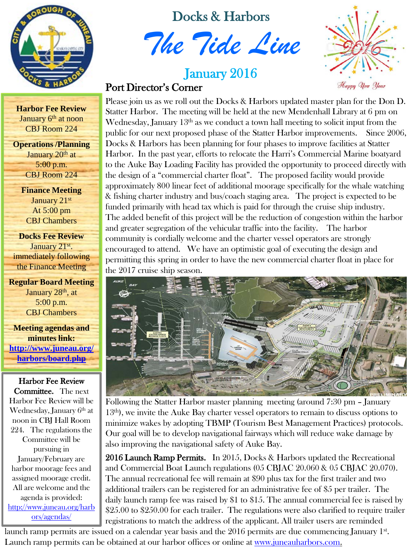

Docks & Harbors

*The Tide Line*

# **January 2016**<br>Port Director's Corner



Please join us as we roll out the Docks & Harbors updated master plan for the Don D. Statter Harbor. The meeting will be held at the new Mendenhall Library at 6 pm on Wednesday, January  $13<sup>th</sup>$  as we conduct a town hall meeting to solicit input from the public for our next proposed phase of the Statter Harbor improvements. Since 2006, Docks & Harbors has been planning for four phases to improve facilities at Statter Harbor. In the past year, efforts to relocate the Harri's Commercial Marine boatyard to the Auke Bay Loading Facility has provided the opportunity to proceed directly with the design of a "commercial charter float". The proposed facility would provide approximately 800 linear feet of additional moorage specifically for the whale watching & fishing charter industry and bus/coach staging area. The project is expected to be funded primarily with head tax which is paid for through the cruise ship industry. The added benefit of this project will be the reduction of congestion within the harbor and greater segregation of the vehicular traffic into the facility. The harbor community is cordially welcome and the charter vessel operators are strongly encouraged to attend. We have an optimistic goal of executing the design and permitting this spring in order to have the new commercial charter float in place for the 2017 cruise ship season.



Following the Statter Harbor master planning meeting (around 7:30 pm – January 13th), we invite the Auke Bay charter vessel operators to remain to discuss options to minimize wakes by adopting TBMP (Tourism Best Management Practices) protocols. Our goal will be to develop navigational fairways which will reduce wake damage by also improving the navigational safety of Auke Bay.

2016 Launch Ramp Permits. In 2015, Docks & Harbors updated the Recreational and Commercial Boat Launch regulations (05 CBJAC 20.060 & 05 CBJAC 20.070). The annual recreational fee will remain at \$90 plus tax for the first trailer and two additional trailers can be registered for an administrative fee of \$5 per trailer. The daily launch ramp fee was raised by \$1 to \$15. The annual commercial fee is raised by \$25.00 to \$250.00 for each trailer. The regulations were also clarified to require trailer registrations to match the address of the applicant. All trailer users are reminded

launch ramp permits are issued on a calendar year basis and the 2016 permits are due commencing January 1<sup>st</sup>. Launch ramp permits can be obtained at our harbor offices or online at [www.juneauharbors.com.](http://www.juneauharbors.com/)

**Harbor Fee Review** January 6<sup>th</sup> at noon CBJ Room 224

**Operations /Planning** January  $20<sup>th</sup>$  at 5:00 p.m. CBJ Room 224

> **Finance Meeting** January 21st At 5:00 pm CBJ Chambers

**Docks Fee Review** January 21<sup>st</sup>. immediately following the Finance Meeting

**Regular Board Meeting** January 28<sup>th</sup>, at 5:00 p.m. CBJ Chambers

**Meeting agendas and minutes link: [http://www.juneau.org/](http://www.juneau.org/harbors/board.php) [harbors/board.php](http://www.juneau.org/harbors/board.php)**

Harbor Fee Review Committee. The next Harbor Fee Review will be Wednesday, January  $6<sup>th</sup>$  at noon in CBJ Hall Room 224. The regulations the Committee will be pursuing in January/February are harbor moorage fees and assigned moorage credit. All are welcome and the agenda is provided: [http://www.juneau.org/harb](http://www.juneau.org/harbors/agendas/20151231103554-a.pdf) [ors/agendas/](http://www.juneau.org/harbors/agendas/20151231103554-a.pdf)